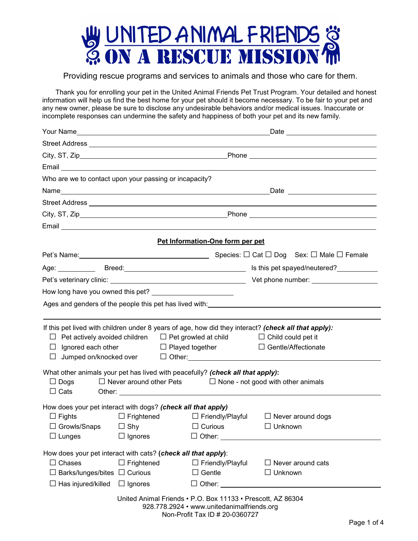

## Providing rescue programs and services to animals and those who care for them.

Thank you for enrolling your pet in the United Animal Friends Pet Trust Program. Your detailed and honest information will help us find the best home for your pet should it become necessary. To be fair to your pet and any new owner, please be sure to disclose any undesirable behaviors and/or medical issues. Inaccurate or incomplete responses can undermine the safety and happiness of both your pet and its new family.

|                                                                                                                                                                                                                                               |                                                                 |                                                                                                                                             | Email <u>Communication and the communication of the communication of the communication</u>                                         |  |
|-----------------------------------------------------------------------------------------------------------------------------------------------------------------------------------------------------------------------------------------------|-----------------------------------------------------------------|---------------------------------------------------------------------------------------------------------------------------------------------|------------------------------------------------------------------------------------------------------------------------------------|--|
| Who are we to contact upon your passing or incapacity?                                                                                                                                                                                        |                                                                 |                                                                                                                                             |                                                                                                                                    |  |
|                                                                                                                                                                                                                                               |                                                                 |                                                                                                                                             |                                                                                                                                    |  |
|                                                                                                                                                                                                                                               |                                                                 |                                                                                                                                             |                                                                                                                                    |  |
|                                                                                                                                                                                                                                               |                                                                 |                                                                                                                                             |                                                                                                                                    |  |
|                                                                                                                                                                                                                                               |                                                                 |                                                                                                                                             |                                                                                                                                    |  |
|                                                                                                                                                                                                                                               |                                                                 | Pet Information-One form per pet                                                                                                            |                                                                                                                                    |  |
|                                                                                                                                                                                                                                               |                                                                 |                                                                                                                                             |                                                                                                                                    |  |
|                                                                                                                                                                                                                                               |                                                                 |                                                                                                                                             |                                                                                                                                    |  |
|                                                                                                                                                                                                                                               |                                                                 |                                                                                                                                             |                                                                                                                                    |  |
|                                                                                                                                                                                                                                               |                                                                 |                                                                                                                                             |                                                                                                                                    |  |
|                                                                                                                                                                                                                                               |                                                                 |                                                                                                                                             | Ages and genders of the people this pet has lived with:__________________________                                                  |  |
|                                                                                                                                                                                                                                               |                                                                 |                                                                                                                                             |                                                                                                                                    |  |
|                                                                                                                                                                                                                                               | $\Box$ Ignored each other $\Box$ Played together                | $\Box$ Pet actively avoided children $\Box$ Pet growled at child $\Box$ Child could pet it                                                  | If this pet lived with children under 8 years of age, how did they interact? (check all that apply):<br>$\Box$ Gentle/Affectionate |  |
| $\Box$ Jumped on/knocked over $\Box$ Other:<br>What other animals your pet has lived with peacefully? (check all that apply):<br>$\Box$ Never around other Pets $\hfill\Box$ None - not good with other animals<br>$\Box$ Dogs<br>$\Box$ Cats |                                                                 |                                                                                                                                             |                                                                                                                                    |  |
| How does your pet interact with dogs? (check all that apply)<br>$\Box$ Fights<br>$\Box$ Lunges                                                                                                                                                | $\Box$ Growls/Snaps $\Box$ Shy $\Box$ Curious<br>$\Box$ Ignores | $\square$ Frightened $\square$ Friendly/Playful<br>$\square$ Other:                                                                         | $\Box$ Never around dogs<br>$\Box$ Unknown                                                                                         |  |
|                                                                                                                                                                                                                                               |                                                                 |                                                                                                                                             |                                                                                                                                    |  |
| How does your pet interact with cats? (check all that apply):<br>$\Box$ Chases<br>$\Box$ Barks/lunges/bites $\Box$ Curious<br>$\Box$ Has injured/killed                                                                                       | $\Box$ Frightened<br>$\Box$ Ignores                             | $\Box$ Friendly/Playful<br>$\Box$ Gentle                                                                                                    | $\Box$ Never around cats<br>$\Box$ Unknown<br>$\Box$ Other: $\Box$                                                                 |  |
|                                                                                                                                                                                                                                               |                                                                 | United Animal Friends . P.O. Box 11133 . Prescott, AZ 86304<br>928.778.2924 • www.unitedanimalfriends.org<br>Non-Profit Tax ID # 20-0360727 |                                                                                                                                    |  |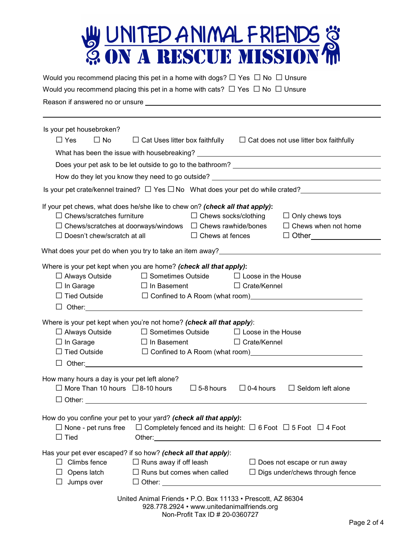

| Would you recommend placing this pet in a home with dogs? $\Box$ Yes $\Box$ No $\Box$ Unsure<br>Would you recommend placing this pet in a home with cats? $\Box$ Yes $\Box$ No $\Box$ Unsure                                                                                                                                                                                                                                                                                                                                                                    |  |
|-----------------------------------------------------------------------------------------------------------------------------------------------------------------------------------------------------------------------------------------------------------------------------------------------------------------------------------------------------------------------------------------------------------------------------------------------------------------------------------------------------------------------------------------------------------------|--|
| Is your pet housebroken?<br>$\Box$ Yes<br>$\Box$ No<br>$\Box$ Cat Uses litter box faithfully $\Box$ Cat does not use litter box faithfully                                                                                                                                                                                                                                                                                                                                                                                                                      |  |
| Is your pet crate/kennel trained? $\Box$ Yes $\Box$ No What does your pet do while crated?<br>If your pet chews, what does he/she like to chew on? (check all that apply):<br>$\Box$ Chews/scratches furniture<br>$\Box$ Chews socks/clothing<br>$\Box$ Only chews toys<br>$\Box$ Chews when not home<br>$\Box$ Chews/scratches at doorways/windows $\Box$ Chews rawhide/bones<br>$\Box$ Doesn't chew/scratch at all<br>$\square$ Chews at fences $\square$ Other $\square$<br>What does your pet do when you try to take an item away?________________________ |  |
| Where is your pet kept when you are home? (check all that apply):<br>$\Box$ Always Outside $\Box$ Sometimes Outside $\Box$ Loose in the House<br>$\Box$ In Garage<br>$\Box$ In Basement<br>$\Box$ Crate/Kennel<br>□ Tied Outside □ □ Confined to A Room (what room)<br>□ Tied Outside □ □ Confined to A Room (what room)                                                                                                                                                                                                                                        |  |
| Where is your pet kept when you're not home? (check all that apply):<br>$\Box$ Always Outside<br>$\Box$ Sometimes Outside<br>$\Box$ Loose in the House<br>$\Box$ In Garage<br>$\Box$ In Basement<br>$\Box$ Crate/Kennel                                                                                                                                                                                                                                                                                                                                         |  |
| How many hours a day is your pet left alone?<br>$\Box$ More Than 10 hours $\Box$ 8-10 hours<br>$\Box$ 0-4 hours<br>$\Box$ Seldom left alone<br>$\Box$ 5-8 hours<br>$\Box$ Other: $\Box$                                                                                                                                                                                                                                                                                                                                                                         |  |
| How do you confine your pet to your yard? (check all that apply):<br>$\Box$ None - pet runs free<br>$\Box$ Completely fenced and its height: $\Box$ 6 Foot $\Box$ 5 Foot $\Box$ 4 Foot<br>$\Box$ Tied                                                                                                                                                                                                                                                                                                                                                           |  |
| Has your pet ever escaped? if so how? (check all that apply):<br>$\Box$ Climbs fence<br>$\Box$ Runs away if off leash<br>$\Box$ Does not escape or run away<br>$\Box$ Runs but comes when called<br>$\Box$ Digs under/chews through fence<br>Opens latch<br>Jumps over                                                                                                                                                                                                                                                                                          |  |
| United Animal Friends • P.O. Box 11133 • Prescott, AZ 86304<br>928.778.2924 • www.unitedanimalfriends.org                                                                                                                                                                                                                                                                                                                                                                                                                                                       |  |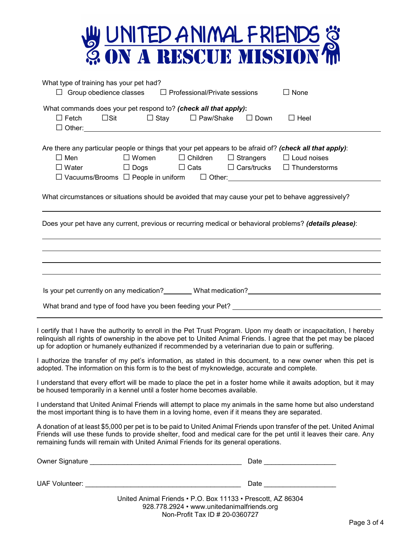| W UNITED ANIMAL FRIENDS &<br>@ ON A RESCUE MISSION M                                                                                                                                                                                                                                                                                                                       |
|----------------------------------------------------------------------------------------------------------------------------------------------------------------------------------------------------------------------------------------------------------------------------------------------------------------------------------------------------------------------------|
| What type of training has your pet had?<br>$\Box$ Group obedience classes $\Box$ Professional/Private sessions<br>$\Box$ None                                                                                                                                                                                                                                              |
| What commands does your pet respond to? (check all that apply):<br>$\Box$ Fetch<br>□ Stay   □ Paw/Shake<br>$\square$ Sit<br>$\Box$ Down<br>$\Box$ Heel                                                                                                                                                                                                                     |
| Are there any particular people or things that your pet appears to be afraid of? (check all that apply):<br>$\square$ Men<br>$\Box$ Women $\Box$ Children $\Box$ Strangers<br>$\Box$ Loud noises<br>$\Box$ Dogs $\Box$ Cats $\Box$ Cars/trucks $\Box$ Thunderstorms<br>$\Box$ Water<br>□ Vacuums/Brooms □ People in uniform □ Other: <u>□ □ People in uniform</u> □ Other: |
| What circumstances or situations should be avoided that may cause your pet to behave aggressively?                                                                                                                                                                                                                                                                         |
| Does your pet have any current, previous or recurring medical or behavioral problems? (details please):                                                                                                                                                                                                                                                                    |
| Is your pet currently on any medication? Mat medication? Mathematical medication of the current of the control of the control of the control of the control of the control of the control of the control of the control of the<br>What brand and type of food have you been feeding your Pet?                                                                              |
| I certify that I have the authority to enroll in the Pet Trust Program. Upon my death or incapacitation, I hereby<br>relinquish all rights of ownership in the above pet to United Animal Friends. I agree that the pet may be placed<br>up for adoption or humanely euthanized if recommended by a veterinarian due to pain or suffering.                                 |
| I authorize the transfer of my pet's information, as stated in this document, to a new owner when this pet is<br>adopted. The information on this form is to the best of myknowledge, accurate and complete.                                                                                                                                                               |
| I understand that every effort will be made to place the pet in a foster home while it awaits adoption, but it may<br>be housed temporarily in a kennel until a foster home becomes available.                                                                                                                                                                             |
| I understand that United Animal Friends will attempt to place my animals in the same home but also understand<br>the most important thing is to have them in a loving home, even if it means they are separated.                                                                                                                                                           |
| A donation of at least \$5,000 per pet is to be paid to United Animal Friends upon transfer of the pet. United Animal<br>Friends will use these funds to provide shelter, food and medical care for the pet until it leaves their care. Any<br>remaining funds will remain with United Animal Friends for its general operations.                                          |
|                                                                                                                                                                                                                                                                                                                                                                            |
| Date _______________________                                                                                                                                                                                                                                                                                                                                               |
| United Animal Friends . P.O. Box 11133 . Prescott, AZ 86304<br>928.778.2924 • www.unitedanimalfriends.org                                                                                                                                                                                                                                                                  |

Non-Profit Tax ID # 20-0360727